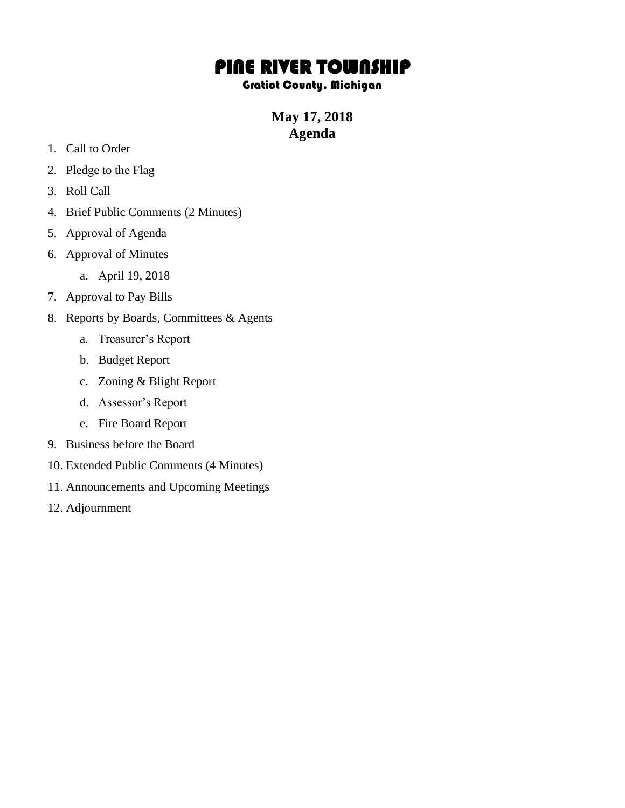## PINE RIVER TOWNSHIP

## Gratiot County, Michigan

**May 17, 2018 Agenda**

- 1. Call to Order
- 2. Pledge to the Flag
- 3. Roll Call
- 4. Brief Public Comments (2 Minutes)
- 5. Approval of Agenda
- 6. Approval of Minutes
	- a. April 19, 2018
- 7. Approval to Pay Bills
- 8. Reports by Boards, Committees & Agents
	- a. Treasurer's Report
	- b. Budget Report
	- c. Zoning & Blight Report
	- d. Assessor's Report
	- e. Fire Board Report
- 9. Business before the Board
- 10. Extended Public Comments (4 Minutes)
- 11. Announcements and Upcoming Meetings
- 12. Adjournment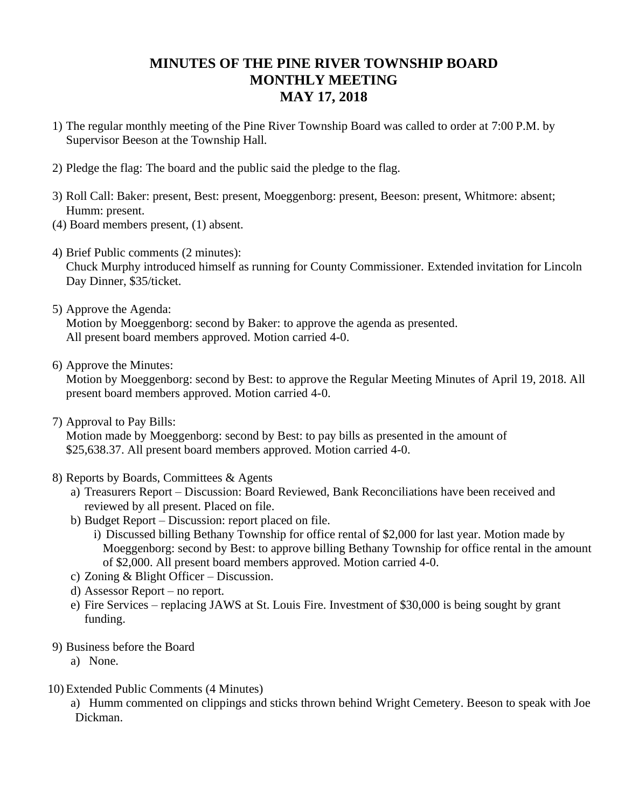## **MINUTES OF THE PINE RIVER TOWNSHIP BOARD MONTHLY MEETING MAY 17, 2018**

- 1) The regular monthly meeting of the Pine River Township Board was called to order at 7:00 P.M. by Supervisor Beeson at the Township Hall.
- 2) Pledge the flag: The board and the public said the pledge to the flag.
- 3) Roll Call: Baker: present, Best: present, Moeggenborg: present, Beeson: present, Whitmore: absent; Humm: present.
- (4) Board members present, (1) absent.
- 4) Brief Public comments (2 minutes):

Chuck Murphy introduced himself as running for County Commissioner. Extended invitation for Lincoln Day Dinner, \$35/ticket.

5) Approve the Agenda:

Motion by Moeggenborg: second by Baker: to approve the agenda as presented. All present board members approved. Motion carried 4-0.

6) Approve the Minutes:

Motion by Moeggenborg: second by Best: to approve the Regular Meeting Minutes of April 19, 2018. All present board members approved. Motion carried 4-0.

7) Approval to Pay Bills:

Motion made by Moeggenborg: second by Best: to pay bills as presented in the amount of \$25,638.37. All present board members approved. Motion carried 4-0.

- 8) Reports by Boards, Committees & Agents
	- a) Treasurers Report Discussion: Board Reviewed, Bank Reconciliations have been received and reviewed by all present. Placed on file.
	- b) Budget Report Discussion: report placed on file.
		- i) Discussed billing Bethany Township for office rental of \$2,000 for last year. Motion made by Moeggenborg: second by Best: to approve billing Bethany Township for office rental in the amount of \$2,000. All present board members approved. Motion carried 4-0.
	- c) Zoning & Blight Officer Discussion.
	- d) Assessor Report no report.
	- e) Fire Services replacing JAWS at St. Louis Fire. Investment of \$30,000 is being sought by grant funding.
- 9) Business before the Board
	- a) None.
- 10) Extended Public Comments (4 Minutes)

a) Humm commented on clippings and sticks thrown behind Wright Cemetery. Beeson to speak with Joe Dickman.